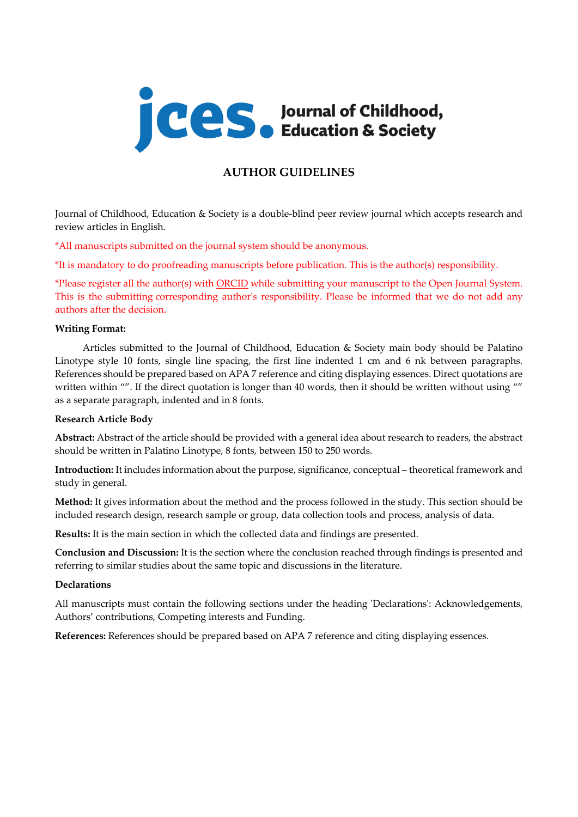

# **AUTHOR GUIDELINES**

Journal of Childhood, Education & Society is a double-blind peer review journal which accepts research and review articles in English.

\*All manuscripts submitted on the journal system should be anonymous.

\*It is mandatory to do proofreading manuscripts before publication. This is the author(s) responsibility.

\*Please register all the author(s) with [ORCID](https://orcid.org/) while submitting your manuscript to the Open Journal System. This is the submitting corresponding author's responsibility. Please be informed that we do not add any authors after the decision.

### **Writing Format:**

Articles submitted to the Journal of Childhood, Education & Society main body should be Palatino Linotype style 10 fonts, single line spacing, the first line indented 1 cm and 6 nk between paragraphs. References should be prepared based on APA 7 reference and citing displaying essences. Direct quotations are written within "". If the direct quotation is longer than 40 words, then it should be written without using "" as a separate paragraph, indented and in 8 fonts.

# **Research Article Body**

**Abstract:** Abstract of the article should be provided with a general idea about research to readers, the abstract should be written in Palatino Linotype, 8 fonts, between 150 to 250 words.

**Introduction:** It includes information about the purpose, significance, conceptual – theoretical framework and study in general.

**Method:** It gives information about the method and the process followed in the study. This section should be included research design, research sample or group, data collection tools and process, analysis of data.

**Results:** It is the main section in which the collected data and findings are presented.

**Conclusion and Discussion:** It is the section where the conclusion reached through findings is presented and referring to similar studies about the same topic and discussions in the literature.

# **Declarations**

All manuscripts must contain the following sections under the heading 'Declarations': Acknowledgements, Authors' contributions, Competing interests and Funding.

**References:** References should be prepared based on APA 7 reference and citing displaying essences.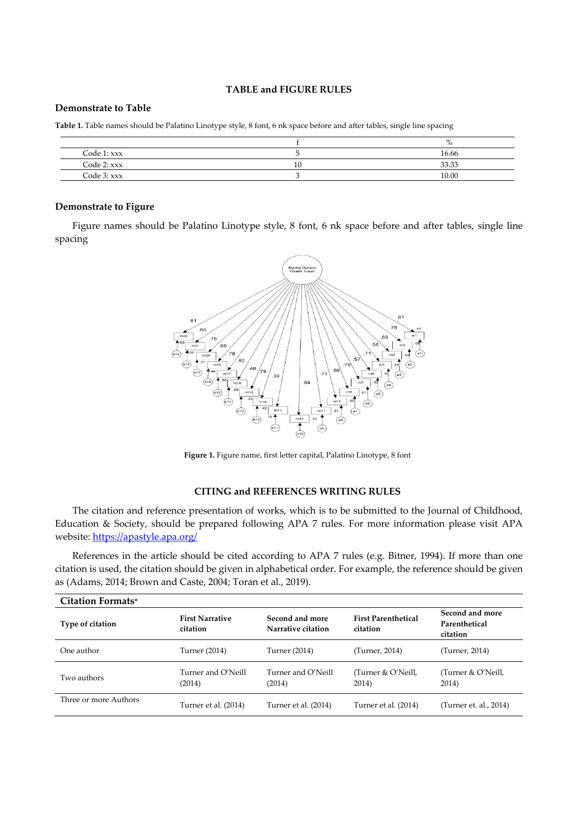#### **TABLE and FIGURE RULES**

#### **Demonstrate to Table**

**Table 1.** Table names should be Palatino Linotype style, 8 font, 6 nk space before and after tables, single line spacing

|                 | 70    |
|-----------------|-------|
| Code $1:xxxx$   | 16.66 |
| $Code 2:$ $xxx$ | 33.33 |
| Code 3: xxx     | 10.00 |

### **Demonstrate to Figure**

Figure names should be Palatino Linotype style, 8 font, 6 nk space before and after tables, single line spacing



**Figure 1.** Figure name, first letter capital, Palatino Linotype, 8 font

### **CITING and REFERENCES WRITING RULES**

The citation and reference presentation of works, which is to be submitted to the Journal of Childhood, Education & Society, should be prepared following APA 7 rules. For more information please visit APA website[: https://apastyle.apa.org/](https://apastyle.apa.org/)

References in the article should be cited according to APA 7 rules (e.g. Bitner, 1994). If more than one citation is used, the citation should be given in alphabetical order. For example, the reference should be given as (Adams, 2014; Brown and Caste, 2004; Toran et al., 2019).

| <b>Citation Formats*</b> |                                    |                                       |                                        |                                              |
|--------------------------|------------------------------------|---------------------------------------|----------------------------------------|----------------------------------------------|
| Type of citation         | <b>First Narrative</b><br>citation | Second and more<br>Narrative citation | <b>First Parenthetical</b><br>citation | Second and more<br>Parenthetical<br>citation |
| One author               | Turner (2014)                      | Turner (2014)                         | (Turner, 2014)                         | (Turner, 2014)                               |
| Two authors              | Turner and O'Neill<br>(2014)       | Turner and O'Neill<br>(2014)          | (Turner & O'Neill,<br>2014)            | (Turner & O'Neill,<br>2014)                  |
| Three or more Authors    | Turner et al. (2014)               | Turner et al. (2014)                  | Turner et al. (2014)                   | (Turner et. al., 2014)                       |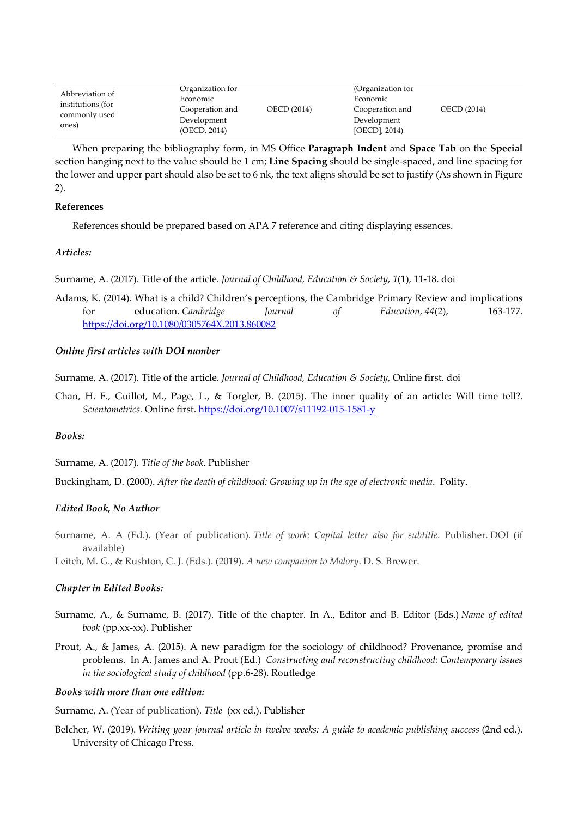| Abbreviation of<br>institutions (for<br>commonly used<br>ones) | Organization for<br>Economic<br>Cooperation and<br>Development<br>(OECD, 2014) | OECD (2014) | (Organization for<br>Economic<br>Cooperation and<br>Development<br>$[OECD]$ , 2014) | OECD (2014) |  |
|----------------------------------------------------------------|--------------------------------------------------------------------------------|-------------|-------------------------------------------------------------------------------------|-------------|--|
|----------------------------------------------------------------|--------------------------------------------------------------------------------|-------------|-------------------------------------------------------------------------------------|-------------|--|

When preparing the bibliography form, in MS Office **Paragraph Indent** and **Space Tab** on the **Special** section hanging next to the value should be 1 cm; **Line Spacing** should be single-spaced, and line spacing for the lower and upper part should also be set to 6 nk, the text aligns should be set to justify (As shown in Figure 2).

# **References**

References should be prepared based on APA 7 reference and citing displaying essences.

### *Articles:*

Surname, A. (2017). Title of the article. *Journal of Childhood, Education & Society, 1*(1), 11-18. doi

Adams, K. (2014). What is a child? Children's perceptions, the Cambridge Primary Review and implications for education. *Cambridge Journal of Education, 44*(2), 163-177. <https://doi.org/10.1080/0305764X.2013.860082>

### *Online first articles with DOI number*

Surname, A. (2017). Title of the article. *Journal of Childhood, Education & Society,* Online first. doi

Chan, H. F., Guillot, M., Page, L., & Torgler, B. (2015). The inner quality of an article: Will time tell?. *Scientometrics.* Online first[. https://doi.org/10.1007/s11192-015-1581-y](https://doi.org/10.1007/s11192-015-1581-y)

#### *Books:*

Surname, A. (2017). *Title of the book*. Publisher

Buckingham, D. (2000). *After the death of childhood: Growing up in the age of electronic media*. Polity.

# *Edited Book, No Author*

Surname, A. A (Ed.). (Year of publication). *Title of work: Capital letter also for subtitle*. Publisher. DOI (if available)

Leitch, M. G., & Rushton, C. J. (Eds.). (2019). *A new companion to Malory*. D. S. Brewer.

#### *Chapter in Edited Books:*

- Surname, A., & Surname, B. (2017). Title of the chapter. In A., Editor and B. Editor (Eds.) *Name of edited book* (pp.xx-xx). Publisher
- Prout, A., & James, A. (2015). A new paradigm for the sociology of childhood? Provenance, promise and problems. In A. James and A. Prout (Ed.) *Constructing and reconstructing childhood: Contemporary issues in the sociological study of childhood* (pp.6-28). Routledge

#### *Books with more than one edition:*

Surname, A. (Year of publication). *Title* (xx ed.). Publisher

Belcher, W. (2019). *Writing your journal article in twelve weeks: A guide to academic publishing success* (2nd ed.). University of Chicago Press.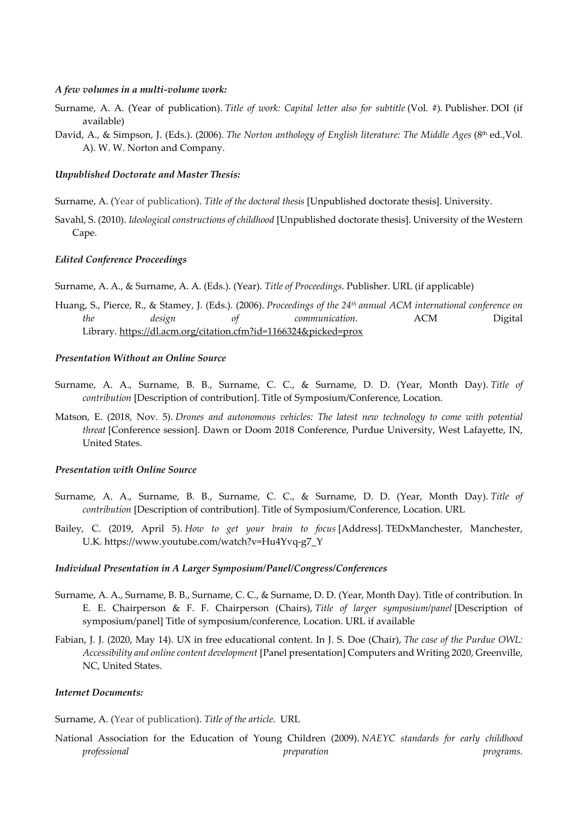#### *A few volumes in a multi-volume work:*

- Surname, A. A. (Year of publication). *Title of work: Capital letter also for subtitle* (Vol. #)*.* Publisher. DOI (if available)
- David, A., & Simpson, J. (Eds.). (2006). *The Norton anthology of English literature: The Middle Ages* (8<sup>th</sup> ed., Vol. A). W. W. Norton and Company.

#### *Unpublished Doctorate and Master Thesis:*

- Surname, A. (Year of publication). *Title of the doctoral thesis* [Unpublished doctorate thesis]. University.
- Savahl, S. (2010). *Ideological constructions of childhood* [Unpublished doctorate thesis]. University of the Western Cape.

#### *Edited Conference Proceedings*

- Surname, A. A., & Surname, A. A. (Eds.). (Year). *Title of Proceedings*. Publisher. URL (if applicable)
- Huang, S., Pierce, R., & Stamey, J. (Eds.). (2006). *Proceedings of the 24th annual ACM international conference on the design of communication*. ACM Digital Library. https://dl.acm.org/citation.cfm?id=1166324&picked=prox

#### *Presentation Without an Online Source*

- Surname, A. A., Surname, B. B., Surname, C. C., & Surname, D. D. (Year, Month Day). *Title of contribution* [Description of contribution]. Title of Symposium/Conference, Location.
- Matson, E. (2018, Nov. 5). *Drones and autonomous vehicles: The latest new technology to come with potential threat* [Conference session]. Dawn or Doom 2018 Conference, Purdue University, West Lafayette, IN, United States.

#### *Presentation with Online Source*

- Surname, A. A., Surname, B. B., Surname, C. C., & Surname, D. D. (Year, Month Day). *Title of contribution* [Description of contribution]. Title of Symposium/Conference, Location. URL
- Bailey, C. (2019, April 5). *How to get your brain to focus* [Address]. TEDxManchester, Manchester, U.K. https://www.youtube.com/watch?v=Hu4Yvq-g7\_Y

#### *Individual Presentation in A Larger Symposium/Panel/Congress/Conferences*

- Surname, A. A., Surname, B. B., Surname, C. C., & Surname, D. D. (Year, Month Day). Title of contribution. In E. E. Chairperson & F. F. Chairperson (Chairs), *Title of larger symposium/panel* [Description of symposium/panel] Title of symposium/conference, Location. URL if available
- Fabian, J. J. (2020, May 14). UX in free educational content. In J. S. Doe (Chair), *The case of the Purdue OWL: Accessibility and online content development* [Panel presentation] Computers and Writing 2020, Greenville, NC, United States.

### *Internet Documents:*

Surname, A. (Year of publication). *Title of the article*. [URL](http://xxxx/)

National Association for the Education of Young Children (2009). *NAEYC standards for early childhood professional preparation programs.*